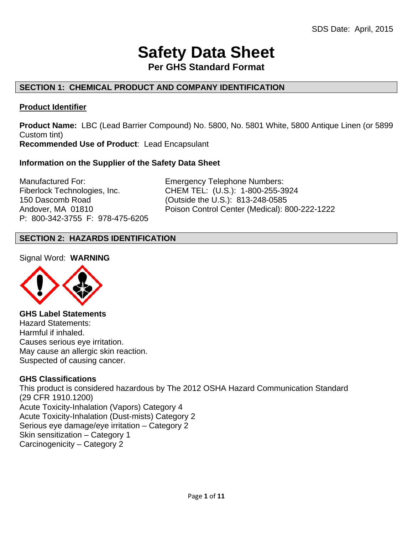# **Safety Data Sheet**

**Per GHS Standard Format** 

# **SECTION 1: CHEMICAL PRODUCT AND COMPANY IDENTIFICATION**

# **Product Identifier**

**Product Name:** LBC (Lead Barrier Compound) No. 5800, No. 5801 White, 5800 Antique Linen (or 5899 Custom tint) **Recommended Use of Product**: Lead Encapsulant

# **Information on the Supplier of the Safety Data Sheet**

Manufactured For: Emergency Telephone Numbers: 150 Dascomb Road (Outside the U.S.): 813-248-0585 P: 800-342-3755 F: 978-475-6205

Fiberlock Technologies, Inc. CHEM TEL: (U.S.): 1-800-255-3924 Andover, MA 01810 Poison Control Center (Medical): 800-222-1222

# **SECTION 2: HAZARDS IDENTIFICATION**

Signal Word: **WARNING**



**GHS Label Statements**  Hazard Statements: Harmful if inhaled. Causes serious eye irritation. May cause an allergic skin reaction. Suspected of causing cancer.

# **GHS Classifications**

This product is considered hazardous by The 2012 OSHA Hazard Communication Standard (29 CFR 1910.1200) Acute Toxicity-Inhalation (Vapors) Category 4 Acute Toxicity-Inhalation (Dust-mists) Category 2 Serious eye damage/eye irritation – Category 2 Skin sensitization – Category 1 Carcinogenicity – Category 2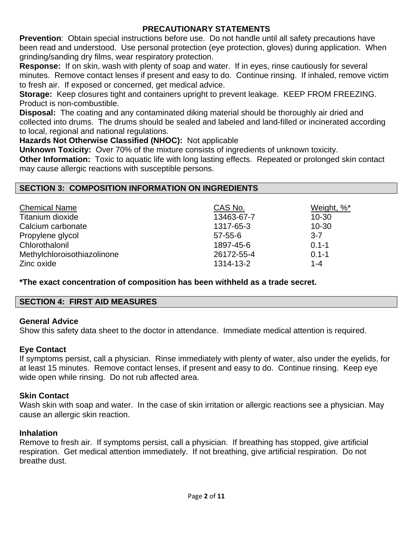# **PRECAUTIONARY STATEMENTS**

**Prevention**: Obtain special instructions before use. Do not handle until all safety precautions have been read and understood. Use personal protection (eye protection, gloves) during application. When grinding/sanding dry films, wear respiratory protection.

**Response:** If on skin, wash with plenty of soap and water. If in eyes, rinse cautiously for several minutes. Remove contact lenses if present and easy to do. Continue rinsing. If inhaled, remove victim to fresh air. If exposed or concerned, get medical advice.

**Storage:** Keep closures tight and containers upright to prevent leakage. KEEP FROM FREEZING. Product is non-combustible.

**Disposal:** The coating and any contaminated diking material should be thoroughly air dried and collected into drums. The drums should be sealed and labeled and land-filled or incinerated according to local, regional and national regulations.

**Hazards Not Otherwise Classified (NHOC):** Not applicable

**Unknown Toxicity:** Over 70% of the mixture consists of ingredients of unknown toxicity.

**Other Information:** Toxic to aquatic life with long lasting effects. Repeated or prolonged skin contact may cause allergic reactions with susceptible persons.

# **SECTION 3: COMPOSITION INFORMATION ON INGREDIENTS**

| <b>Chemical Name</b>        | CAS No.       | Weight, %* |
|-----------------------------|---------------|------------|
| Titanium dioxide            | 13463-67-7    | $10 - 30$  |
| Calcium carbonate           | 1317-65-3     | $10 - 30$  |
| Propylene glycol            | $57 - 55 - 6$ | $3 - 7$    |
| Chlorothalonil              | 1897-45-6     | $0.1 - 1$  |
| Methylchloroisothiazolinone | 26172-55-4    | $0.1 - 1$  |
| Zinc oxide                  | 1314-13-2     | $1 - 4$    |

**\*The exact concentration of composition has been withheld as a trade secret.** 

# **SECTION 4: FIRST AID MEASURES**

# **General Advice**

Show this safety data sheet to the doctor in attendance. Immediate medical attention is required.

# **Eye Contact**

If symptoms persist, call a physician. Rinse immediately with plenty of water, also under the eyelids, for at least 15 minutes. Remove contact lenses, if present and easy to do. Continue rinsing. Keep eye wide open while rinsing. Do not rub affected area.

# **Skin Contact**

Wash skin with soap and water. In the case of skin irritation or allergic reactions see a physician. May cause an allergic skin reaction.

# **Inhalation**

Remove to fresh air. If symptoms persist, call a physician. If breathing has stopped, give artificial respiration. Get medical attention immediately. If not breathing, give artificial respiration. Do not breathe dust.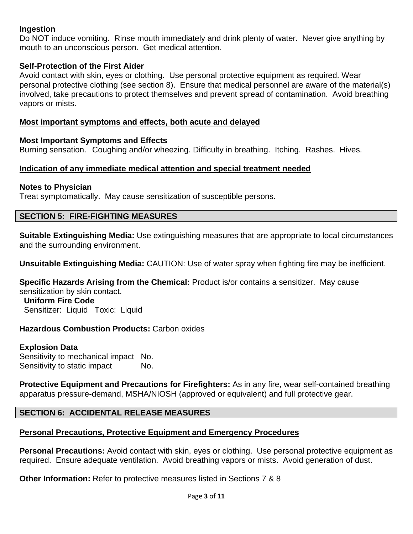# **Ingestion**

Do NOT induce vomiting. Rinse mouth immediately and drink plenty of water. Never give anything by mouth to an unconscious person. Get medical attention.

# **Self-Protection of the First Aider**

Avoid contact with skin, eyes or clothing. Use personal protective equipment as required. Wear personal protective clothing (see section 8). Ensure that medical personnel are aware of the material(s) involved, take precautions to protect themselves and prevent spread of contamination. Avoid breathing vapors or mists.

# **Most important symptoms and effects, both acute and delayed**

# **Most Important Symptoms and Effects**

Burning sensation. Coughing and/or wheezing. Difficulty in breathing. Itching. Rashes. Hives.

# **Indication of any immediate medical attention and special treatment needed**

# **Notes to Physician**

Treat symptomatically. May cause sensitization of susceptible persons.

# **SECTION 5: FIRE-FIGHTING MEASURES**

**Suitable Extinguishing Media:** Use extinguishing measures that are appropriate to local circumstances and the surrounding environment.

**Unsuitable Extinguishing Media:** CAUTION: Use of water spray when fighting fire may be inefficient.

**Specific Hazards Arising from the Chemical:** Product is/or contains a sensitizer. May cause sensitization by skin contact.

 **Uniform Fire Code** Sensitizer: Liquid Toxic: Liquid

# **Hazardous Combustion Products:** Carbon oxides

# **Explosion Data**

Sensitivity to mechanical impact No. Sensitivity to static impact No.

**Protective Equipment and Precautions for Firefighters:** As in any fire, wear self-contained breathing apparatus pressure-demand, MSHA/NIOSH (approved or equivalent) and full protective gear.

# **SECTION 6: ACCIDENTAL RELEASE MEASURES**

# **Personal Precautions, Protective Equipment and Emergency Procedures**

**Personal Precautions:** Avoid contact with skin, eyes or clothing. Use personal protective equipment as required. Ensure adequate ventilation. Avoid breathing vapors or mists. Avoid generation of dust.

**Other Information:** Refer to protective measures listed in Sections 7 & 8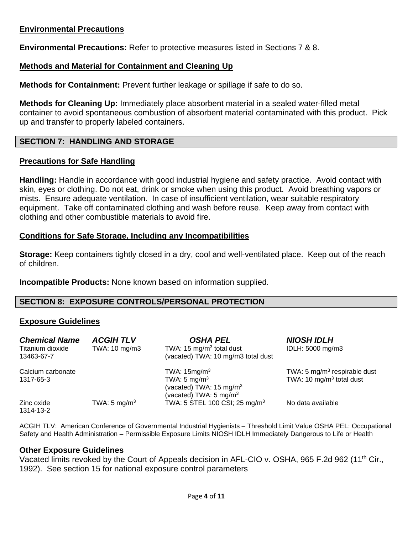# **Environmental Precautions**

**Environmental Precautions:** Refer to protective measures listed in Sections 7 & 8.

# **Methods and Material for Containment and Cleaning Up**

**Methods for Containment:** Prevent further leakage or spillage if safe to do so.

**Methods for Cleaning Up:** Immediately place absorbent material in a sealed water-filled metal container to avoid spontaneous combustion of absorbent material contaminated with this product. Pick up and transfer to properly labeled containers.

# **SECTION 7: HANDLING AND STORAGE**

# **Precautions for Safe Handling**

**Handling:** Handle in accordance with good industrial hygiene and safety practice. Avoid contact with skin, eyes or clothing. Do not eat, drink or smoke when using this product. Avoid breathing vapors or mists. Ensure adequate ventilation. In case of insufficient ventilation, wear suitable respiratory equipment. Take off contaminated clothing and wash before reuse. Keep away from contact with clothing and other combustible materials to avoid fire.

#### **Conditions for Safe Storage, Including any Incompatibilities**

**Storage:** Keep containers tightly closed in a dry, cool and well-ventilated place. Keep out of the reach of children.

**Incompatible Products:** None known based on information supplied.

# **SECTION 8: EXPOSURE CONTROLS/PERSONAL PROTECTION**

# **Exposure Guidelines**

| <b>Chemical Name</b><br>Titanium dioxide<br>13463-67-7 | <b>ACGIHTLV</b><br>TWA: 10 mg/m3 | <b>OSHA PEL</b><br>TWA: 15 mg/m <sup>3</sup> total dust<br>(vacated) TWA: 10 mg/m3 total dust                | <b>NIOSH IDLH</b><br>IDLH: 5000 mg/m3                        |
|--------------------------------------------------------|----------------------------------|--------------------------------------------------------------------------------------------------------------|--------------------------------------------------------------|
| Calcium carbonate<br>1317-65-3                         |                                  | TWA: $15mg/m3$<br>TWA: $5 \text{ mg/m}^3$<br>(vacated) TWA: $15 \text{ mg/m}^3$<br>(vacated) TWA: 5 mg/m $3$ | TWA: 5 $mg/m3$ respirable dust<br>TWA: 10 $mg/m3$ total dust |
| Zinc oxide<br>1314-13-2                                | TWA: 5 mg/m <sup>3</sup>         | TWA: 5 STEL 100 CSI; 25 mg/m <sup>3</sup>                                                                    | No data available                                            |

ACGIH TLV: American Conference of Governmental Industrial Hygienists – Threshold Limit Value OSHA PEL: Occupational Safety and Health Administration – Permissible Exposure Limits NIOSH IDLH Immediately Dangerous to Life or Health

# **Other Exposure Guidelines**

Vacated limits revoked by the Court of Appeals decision in AFL-CIO v. OSHA, 965 F.2d 962 (11<sup>th</sup> Cir., 1992). See section 15 for national exposure control parameters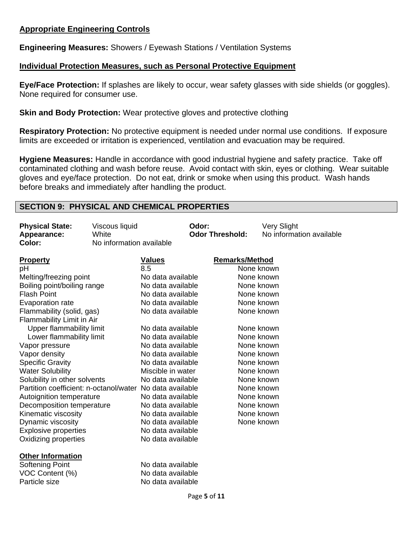# **Appropriate Engineering Controls**

**Engineering Measures:** Showers / Eyewash Stations / Ventilation Systems

# **Individual Protection Measures, such as Personal Protective Equipment**

**Eye/Face Protection:** If splashes are likely to occur, wear safety glasses with side shields (or goggles). None required for consumer use.

**Skin and Body Protection:** Wear protective gloves and protective clothing

**Respiratory Protection:** No protective equipment is needed under normal use conditions. If exposure limits are exceeded or irritation is experienced, ventilation and evacuation may be required.

**Hygiene Measures:** Handle in accordance with good industrial hygiene and safety practice. Take off contaminated clothing and wash before reuse. Avoid contact with skin, eyes or clothing. Wear suitable gloves and eye/face protection. Do not eat, drink or smoke when using this product. Wash hands before breaks and immediately after handling the product.

# **SECTION 9: PHYSICAL AND CHEMICAL PROPERTIES**

| <b>Physical State:</b>                                   | Viscous liquid           |                   | Odor:                  |                       | Very Slight              |
|----------------------------------------------------------|--------------------------|-------------------|------------------------|-----------------------|--------------------------|
| Appearance:                                              | White                    |                   | <b>Odor Threshold:</b> |                       | No information available |
| Color:                                                   | No information available |                   |                        |                       |                          |
|                                                          |                          |                   |                        |                       |                          |
| <b>Property</b>                                          |                          | <b>Values</b>     |                        | <b>Remarks/Method</b> |                          |
| pH                                                       |                          | 8.5               |                        |                       | None known               |
| Melting/freezing point                                   |                          | No data available |                        |                       | None known               |
| Boiling point/boiling range                              |                          | No data available |                        |                       | None known               |
| <b>Flash Point</b>                                       |                          | No data available |                        |                       | None known               |
| Evaporation rate                                         |                          | No data available |                        |                       | None known               |
| Flammability (solid, gas)                                |                          | No data available |                        |                       | None known               |
| Flammability Limit in Air                                |                          |                   |                        |                       |                          |
| Upper flammability limit                                 |                          | No data available |                        |                       | None known               |
| Lower flammability limit                                 |                          | No data available |                        |                       | None known               |
| Vapor pressure                                           |                          | No data available |                        |                       | None known               |
| Vapor density                                            |                          | No data available |                        |                       | None known               |
| <b>Specific Gravity</b>                                  |                          | No data available |                        |                       | None known               |
| <b>Water Solubility</b>                                  |                          | Miscible in water |                        |                       | None known               |
| Solubility in other solvents                             |                          | No data available |                        |                       | None known               |
| Partition coefficient: n-octanol/water No data available |                          |                   |                        |                       | None known               |
| Autoignition temperature                                 |                          | No data available |                        |                       | None known               |
| Decomposition temperature                                |                          | No data available |                        |                       | None known               |
| Kinematic viscosity                                      |                          | No data available |                        |                       | None known               |
| Dynamic viscosity                                        |                          | No data available |                        |                       | None known               |
| <b>Explosive properties</b>                              |                          | No data available |                        |                       |                          |
| Oxidizing properties                                     |                          | No data available |                        |                       |                          |
|                                                          |                          |                   |                        |                       |                          |
| <b>Other Information</b>                                 |                          |                   |                        |                       |                          |
| <b>Softening Point</b>                                   |                          | No data available |                        |                       |                          |
| VOC Content (%)                                          |                          | No data available |                        |                       |                          |
| Particle size                                            |                          | No data available |                        |                       |                          |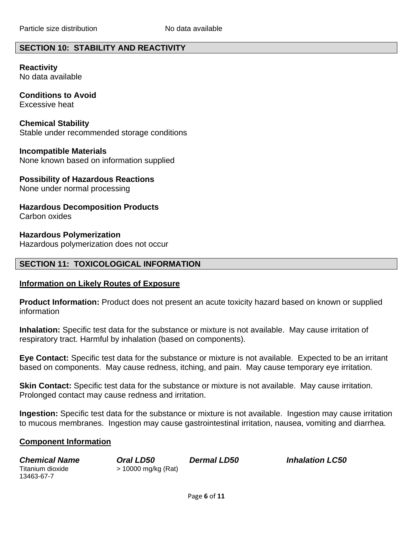# **SECTION 10: STABILITY AND REACTIVITY**

**Reactivity**  No data available

**Conditions to Avoid** Excessive heat

**Chemical Stability** Stable under recommended storage conditions

**Incompatible Materials** None known based on information supplied

**Possibility of Hazardous Reactions** None under normal processing

**Hazardous Decomposition Products** Carbon oxides

**Hazardous Polymerization** 

Hazardous polymerization does not occur

# **SECTION 11: TOXICOLOGICAL INFORMATION**

#### **Information on Likely Routes of Exposure**

**Product Information:** Product does not present an acute toxicity hazard based on known or supplied information

**Inhalation:** Specific test data for the substance or mixture is not available. May cause irritation of respiratory tract. Harmful by inhalation (based on components).

**Eye Contact:** Specific test data for the substance or mixture is not available. Expected to be an irritant based on components. May cause redness, itching, and pain. May cause temporary eye irritation.

**Skin Contact:** Specific test data for the substance or mixture is not available. May cause irritation. Prolonged contact may cause redness and irritation.

**Ingestion:** Specific test data for the substance or mixture is not available. Ingestion may cause irritation to mucous membranes. Ingestion may cause gastrointestinal irritation, nausea, vomiting and diarrhea.

# **Component Information**

13463-67-7

Titanium dioxide > 10000 mg/kg (Rat)

*Chemical Name Oral LD50 Dermal LD50 Inhalation LC50*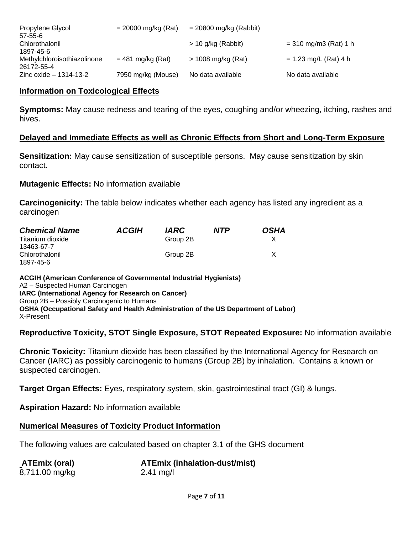| Propylene Glycol<br>$57 - 55 - 6$        | $= 20000$ mg/kg (Rat) | $= 20800$ mg/kg (Rabbit) |                         |
|------------------------------------------|-----------------------|--------------------------|-------------------------|
| Chlorothalonil                           |                       | $> 10$ g/kg (Rabbit)     | $= 310$ mg/m3 (Rat) 1 h |
| 1897-45-6<br>Methylchloroisothiazolinone | $= 481$ mg/kg (Rat)   | $> 1008$ mg/kg (Rat)     | $= 1.23$ mg/L (Rat) 4 h |
| 26172-55-4<br>Zinc oxide $-1314-13-2$    | 7950 mg/kg (Mouse)    | No data available        | No data available       |

# **Information on Toxicological Effects**

**Symptoms:** May cause redness and tearing of the eyes, coughing and/or wheezing, itching, rashes and hives.

#### **Delayed and Immediate Effects as well as Chronic Effects from Short and Long-Term Exposure**

**Sensitization:** May cause sensitization of susceptible persons. May cause sensitization by skin contact.

**Mutagenic Effects:** No information available

**Carcinogenicity:** The table below indicates whether each agency has listed any ingredient as a carcinogen

| <b>Chemical Name</b> | <b>ACGIH</b> | <i><b>IARC</b></i> | <b>NTP</b> | <b>OSHA</b> |
|----------------------|--------------|--------------------|------------|-------------|
| Titanium dioxide     |              | Group 2B           |            |             |
| 13463-67-7           |              |                    |            |             |
| Chlorothalonil       |              | Group 2B           |            |             |
| 1897-45-6            |              |                    |            |             |

**ACGIH (American Conference of Governmental Industrial Hygienists)**  A2 – Suspected Human Carcinogen **IARC (International Agency for Research on Cancer)**  Group 2B – Possibly Carcinogenic to Humans **OSHA (Occupational Safety and Health Administration of the US Department of Labor)**  X-Present

# **Reproductive Toxicity, STOT Single Exposure, STOT Repeated Exposure:** No information available

**Chronic Toxicity:** Titanium dioxide has been classified by the International Agency for Research on Cancer (IARC) as possibly carcinogenic to humans (Group 2B) by inhalation. Contains a known or suspected carcinogen.

**Target Organ Effects:** Eyes, respiratory system, skin, gastrointestinal tract (GI) & lungs.

**Aspiration Hazard:** No information available

# **Numerical Measures of Toxicity Product Information**

The following values are calculated based on chapter 3.1 of the GHS document

| <b>ATEmix (oral)</b> | <b>ATEmix (inhalation-dust/mist)</b> |
|----------------------|--------------------------------------|
| 8,711.00 mg/kg       | $2.41 \text{ mg/l}$                  |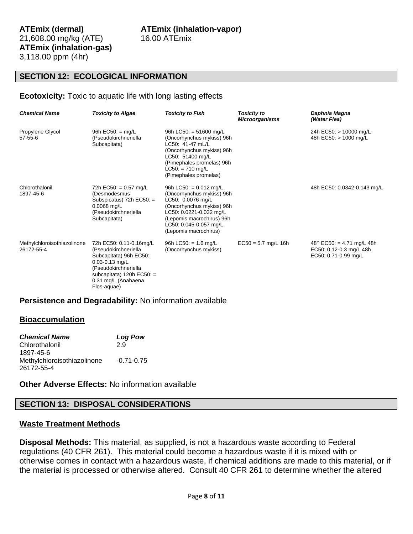# **SECTION 12: ECOLOGICAL INFORMATION**

#### **Ecotoxicity:** Toxic to aquatic life with long lasting effects

| <b>Chemical Name</b>                      | <b>Toxicity to Algae</b>                                                                                                                                                      | <b>Toxicity to Fish</b>                                                                                                                                                                                            | <b>Toxicity to</b><br><b>Microorganisms</b> | Daphnia Magna<br>(Water Flea)                                                             |
|-------------------------------------------|-------------------------------------------------------------------------------------------------------------------------------------------------------------------------------|--------------------------------------------------------------------------------------------------------------------------------------------------------------------------------------------------------------------|---------------------------------------------|-------------------------------------------------------------------------------------------|
| Propylene Glycol<br>$57 - 55 - 6$         | 96h EC50: $=$ mg/L<br>(Pseudokirchneriella<br>Subcapitata)                                                                                                                    | 96h LC50: = $51600$ mg/L<br>(Oncorhynchus mykiss) 96h<br>LC50: 41-47 mL/L<br>(Oncorhynchus mykiss) 96h<br>LC50: 51400 mg/L<br>(Pimephales promelas) 96h<br>$LC50: = 710$ mg/L<br>(Pimephales promelas)             |                                             | 24h EC50: > 10000 mg/L<br>48h EC50: > 1000 mg/L                                           |
| Chlorothalonil<br>1897-45-6               | 72h EC50: = $0.57 \text{ mg/L}$<br>(Desmodesmus<br>Subspicatus) 72h EC50: =<br>$0.0068$ mg/L<br>(Pseudokirchneriella<br>Subcapitata)                                          | 96h LC50: = $0.012$ mg/L<br>(Oncorhynchus mykiss) 96h<br>LC50: 0.0076 mg/L<br>(Oncorhynchus mykiss) 96h<br>LC50: 0.0221-0.032 mg/L<br>(Lepomis macrochirus) 96h<br>LC50: 0.045-0.057 mg/L<br>(Lepomis macrochirus) |                                             | 48h EC50: 0.0342-0.143 mg/L                                                               |
| Methylchloroisothiazolinone<br>26172-55-4 | 72h EC50: 0.11-0.16mg/L<br>(Pseudokirchneriella<br>Subcapitata) 96h EC50:<br>$0.03 - 0.13$ mg/L<br>(Pseudokirchneriella<br>subcapitata) $120h$ EC50: =<br>0.31 mg/L (Anabaena | 96h LC50: = $1.6 \text{ mg/L}$<br>(Oncorhynchus mykiss)                                                                                                                                                            | $EC50 = 5.7$ mg/L 16h                       | $48^{\text{th}}$ EC50: = 4.71 mg/L 48h<br>EC50: 0.12-0.3 mg/L 48h<br>EC50: 0.71-0.99 mg/L |

#### **Persistence and Degradability:** No information available

Flos-aquae)

#### **Bioaccumulation**

| <b>Chemical Name</b>        | <b>Log Pow</b> |
|-----------------------------|----------------|
| Chlorothalonil              | 29             |
| 1897-45-6                   |                |
| Methylchloroisothiazolinone | $-0.71 - 0.75$ |
| 26172-55-4                  |                |

**Other Adverse Effects:** No information available

# **SECTION 13: DISPOSAL CONSIDERATIONS**

#### **Waste Treatment Methods**

**Disposal Methods:** This material, as supplied, is not a hazardous waste according to Federal regulations (40 CFR 261). This material could become a hazardous waste if it is mixed with or otherwise comes in contact with a hazardous waste, if chemical additions are made to this material, or if the material is processed or otherwise altered. Consult 40 CFR 261 to determine whether the altered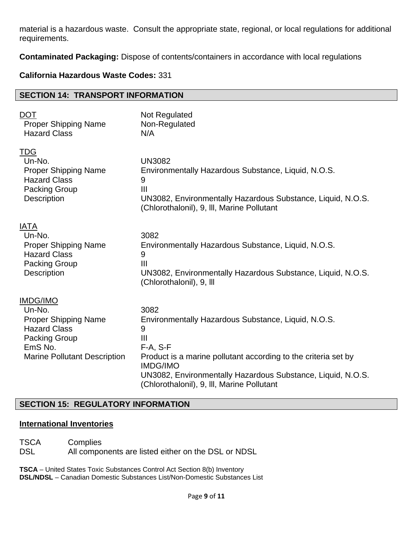material is a hazardous waste. Consult the appropriate state, regional, or local regulations for additional requirements.

**Contaminated Packaging:** Dispose of contents/containers in accordance with local regulations

# **California Hazardous Waste Codes:** 331

#### **SECTION 14: TRANSPORT INFORMATION**

| <b>DOT</b>                                                                                                                                                | Not Regulated                                                                                                                                                                                                                                                                                      |
|-----------------------------------------------------------------------------------------------------------------------------------------------------------|----------------------------------------------------------------------------------------------------------------------------------------------------------------------------------------------------------------------------------------------------------------------------------------------------|
| <b>Proper Shipping Name</b>                                                                                                                               | Non-Regulated                                                                                                                                                                                                                                                                                      |
| <b>Hazard Class</b>                                                                                                                                       | N/A                                                                                                                                                                                                                                                                                                |
| <b>TDG</b>                                                                                                                                                | <b>UN3082</b>                                                                                                                                                                                                                                                                                      |
| Un-No.                                                                                                                                                    | Environmentally Hazardous Substance, Liquid, N.O.S.                                                                                                                                                                                                                                                |
| <b>Proper Shipping Name</b>                                                                                                                               | 9                                                                                                                                                                                                                                                                                                  |
| <b>Hazard Class</b>                                                                                                                                       | $\mathbf{III}$                                                                                                                                                                                                                                                                                     |
| <b>Packing Group</b>                                                                                                                                      | UN3082, Environmentally Hazardous Substance, Liquid, N.O.S.                                                                                                                                                                                                                                        |
| <b>Description</b>                                                                                                                                        | (Chlorothalonil), 9, III, Marine Pollutant                                                                                                                                                                                                                                                         |
| <b>IATA</b>                                                                                                                                               | 3082                                                                                                                                                                                                                                                                                               |
| Un-No.                                                                                                                                                    | Environmentally Hazardous Substance, Liquid, N.O.S.                                                                                                                                                                                                                                                |
| <b>Proper Shipping Name</b>                                                                                                                               | 9                                                                                                                                                                                                                                                                                                  |
| <b>Hazard Class</b>                                                                                                                                       | $\mathbf{III}$                                                                                                                                                                                                                                                                                     |
| <b>Packing Group</b>                                                                                                                                      | UN3082, Environmentally Hazardous Substance, Liquid, N.O.S.                                                                                                                                                                                                                                        |
| Description                                                                                                                                               | (Chlorothalonil), 9, Ill                                                                                                                                                                                                                                                                           |
| <b>IMDG/IMO</b><br>Un-No.<br><b>Proper Shipping Name</b><br><b>Hazard Class</b><br><b>Packing Group</b><br>EmS No.<br><b>Marine Pollutant Description</b> | 3082<br>Environmentally Hazardous Substance, Liquid, N.O.S.<br>9<br>$\mathbf{III}$<br>$F-A, S-F$<br>Product is a marine pollutant according to the criteria set by<br><b>IMDG/IMO</b><br>UN3082, Environmentally Hazardous Substance, Liquid, N.O.S.<br>(Chlorothalonil), 9, III, Marine Pollutant |

# **SECTION 15: REGULATORY INFORMATION**

#### **International Inventories**

TSCA Complies DSL All components are listed either on the DSL or NDSL

**TSCA** – United States Toxic Substances Control Act Section 8(b) Inventory **DSL/NDSL** – Canadian Domestic Substances List/Non-Domestic Substances List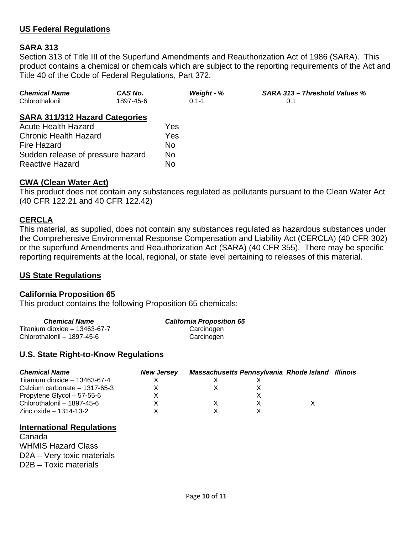# **US Federal Regulations**

# **SARA 313**

Section 313 of Title III of the Superfund Amendments and Reauthorization Act of 1986 (SARA). This product contains a chemical or chemicals which are subject to the reporting requirements of the Act and Title 40 of the Code of Federal Regulations, Part 372.

| <b>Chemical Name</b> | CAS No.   | Weight - % | <b>SARA 313 – Threshold Values %</b> |
|----------------------|-----------|------------|--------------------------------------|
| Chlorothalonil       | 1897-45-6 | $0.1 - 1$  |                                      |

#### **SARA 311/312 Hazard Categories**

| <b>Acute Health Hazard</b>        | Yes |
|-----------------------------------|-----|
| <b>Chronic Health Hazard</b>      | Yes |
| <b>Fire Hazard</b>                | No. |
| Sudden release of pressure hazard | No  |
| <b>Reactive Hazard</b>            | N٥  |

# **CWA (Clean Water Act)**

This product does not contain any substances regulated as pollutants pursuant to the Clean Water Act (40 CFR 122.21 and 40 CFR 122.42)

#### **CERCLA**

This material, as supplied, does not contain any substances regulated as hazardous substances under the Comprehensive Environmental Response Compensation and Liability Act (CERCLA) (40 CFR 302) or the superfund Amendments and Reauthorization Act (SARA) (40 CFR 355). There may be specific reporting requirements at the local, regional, or state level pertaining to releases of this material.

# **US State Regulations**

#### **California Proposition 65**

This product contains the following Proposition 65 chemicals:

| <b>Chemical Name</b>           | <b>California Proposition 65</b> |
|--------------------------------|----------------------------------|
| Titanium dioxide $-13463-67-7$ | Carcinogen                       |
| Chlorothalonil - 1897-45-6     | Carcinogen                       |

# **U.S. State Right-to-Know Regulations**

| <b>Chemical Name</b>           | <b>New Jersey</b> | Massachusetts Pennsylvania Rhode Island Illinois |  |  |
|--------------------------------|-------------------|--------------------------------------------------|--|--|
| Titanium dioxide $-13463-67-4$ |                   |                                                  |  |  |
| Calcium carbonate - 1317-65-3  |                   |                                                  |  |  |
| Propylene Glycol - 57-55-6     |                   |                                                  |  |  |
| Chlorothalonil - 1897-45-6     |                   |                                                  |  |  |
| Zinc oxide – 1314-13-2         |                   |                                                  |  |  |

#### **International Regulations**

Canada WHMIS Hazard Class D2A – Very toxic materials D2B – Toxic materials